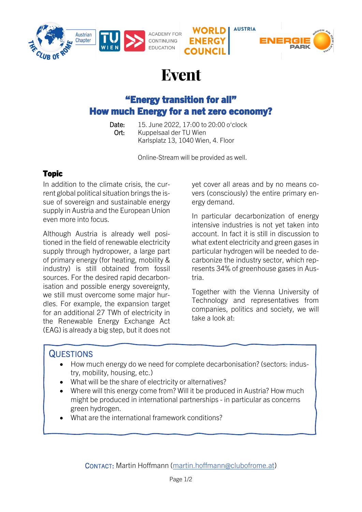





# "Energy transition for all" How much Energy for a net zero economy?

 Date: 15. June 2022, 17:00 to 20:00 o'clock Ort: Kuppelsaal der TU Wien Karlsplatz 13, 1040 Wien, 4. Floor

Online-Stream will be provided as well.

### Topic

In addition to the climate crisis, the current global political situation brings the issue of sovereign and sustainable energy supply in Austria and the European Union even more into focus.

Although Austria is already well positioned in the field of renewable electricity supply through hydropower, a large part of primary energy (for heating, mobility & industry) is still obtained from fossil sources. For the desired rapid decarbonisation and possible energy sovereignty, we still must overcome some major hurdles. For example, the expansion target for an additional 27 TWh of electricity in the Renewable Energy Exchange Act (EAG) is already a big step, but it does not yet cover all areas and by no means covers (consciously) the entire primary energy demand.

**AUSTRIA** 

In particular decarbonization of energy intensive industries is not yet taken into account. In fact it is still in discussion to what extent electricity and green gases in particular hydrogen will be needed to decarbonize the industry sector, which represents 34% of greenhouse gases in Austria.

Together with the Vienna University of Technology and representatives from companies, politics and society, we will take a look at:

## **QUESTIONS**

- How much energy do we need for complete decarbonisation? (sectors: industry, mobility, housing, etc.)
- What will be the share of electricity or alternatives?
- Where will this energy come from? Will it be produced in Austria? How much might be produced in international partnerships - in particular as concerns green hydrogen.
- What are the international framework conditions?

CONTACT: Martin Hoffmann [\(martin.hoffmann@clubofrome.at\)](mailto:martin.hoffmann@clubofrome.at)